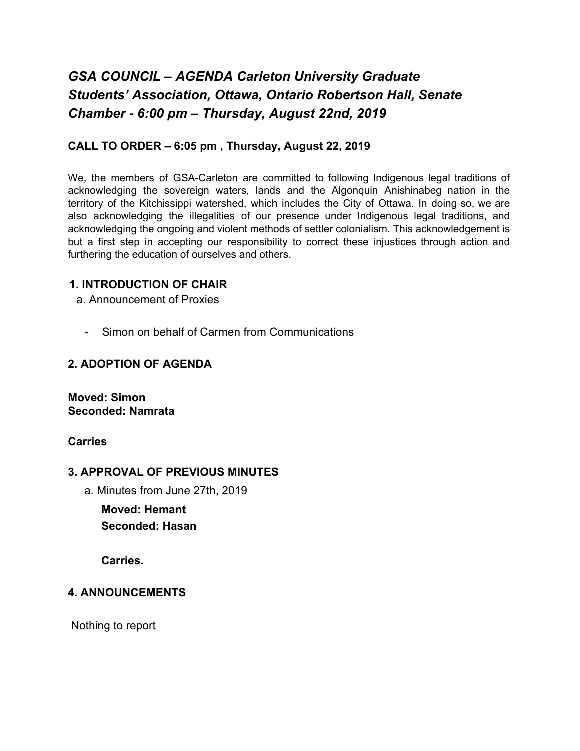# *GSA COUNCIL – AGENDA Carleton University Graduate Students' Association, Ottawa, Ontario Robertson Hall, Senate Chamber - 6:00 pm – Thursday, August 22nd, 2019*

#### **CALL TO ORDER – 6:05 pm , Thursday, August 22, 2019**

We, the members of GSA-Carleton are committed to following Indigenous legal traditions of acknowledging the sovereign waters, lands and the Algonquin Anishinabeg nation in the territory of the Kitchissippi watershed, which includes the City of Ottawa. In doing so, we are also acknowledging the illegalities of our presence under Indigenous legal traditions, and acknowledging the ongoing and violent methods of settler colonialism. This acknowledgement is but a first step in accepting our responsibility to correct these injustices through action and furthering the education of ourselves and others.

#### **1. INTRODUCTION OF CHAIR**

- a. Announcement of Proxies
	- Simon on behalf of Carmen from Communications

#### **2. ADOPTION OF AGENDA**

**Moved: Simon Seconded: Namrata**

#### **Carries**

#### **3. APPROVAL OF PREVIOUS MINUTES**

a. Minutes from June 27th, 2019

**Moved: Hemant Seconded: Hasan**

**Carries.**

#### **4. ANNOUNCEMENTS**

Nothing to report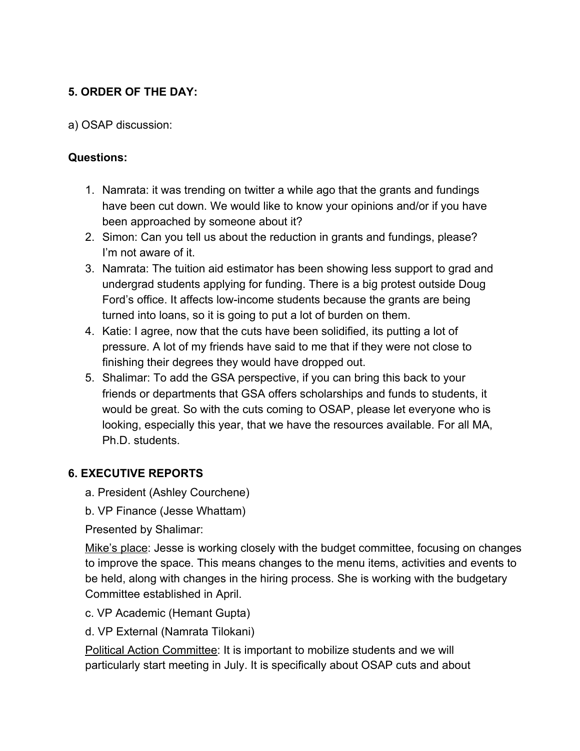# **5. ORDER OF THE DAY:**

a) OSAP discussion:

#### **Questions:**

- 1. Namrata: it was trending on twitter a while ago that the grants and fundings have been cut down. We would like to know your opinions and/or if you have been approached by someone about it?
- 2. Simon: Can you tell us about the reduction in grants and fundings, please? I'm not aware of it.
- 3. Namrata: The tuition aid estimator has been showing less support to grad and undergrad students applying for funding. There is a big protest outside Doug Ford's office. It affects low-income students because the grants are being turned into loans, so it is going to put a lot of burden on them.
- 4. Katie: I agree, now that the cuts have been solidified, its putting a lot of pressure. A lot of my friends have said to me that if they were not close to finishing their degrees they would have dropped out.
- 5. Shalimar: To add the GSA perspective, if you can bring this back to your friends or departments that GSA offers scholarships and funds to students, it would be great. So with the cuts coming to OSAP, please let everyone who is looking, especially this year, that we have the resources available. For all MA, Ph.D. students.

### **6. EXECUTIVE REPORTS**

- a. President (Ashley Courchene)
- b. VP Finance (Jesse Whattam)

Presented by Shalimar:

Mike's place: Jesse is working closely with the budget committee, focusing on changes to improve the space. This means changes to the menu items, activities and events to be held, along with changes in the hiring process. She is working with the budgetary Committee established in April.

- c. VP Academic (Hemant Gupta)
- d. VP External (Namrata Tilokani)

Political Action Committee: It is important to mobilize students and we will particularly start meeting in July. It is specifically about OSAP cuts and about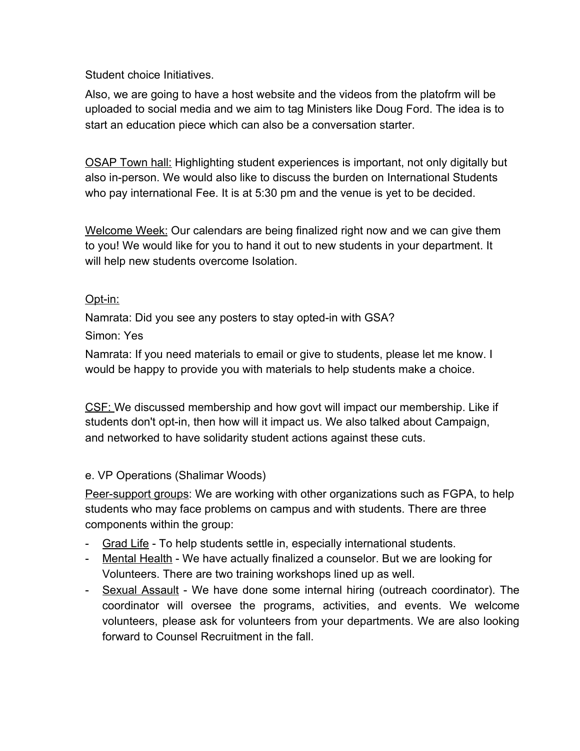Student choice Initiatives.

Also, we are going to have a host website and the videos from the platofrm will be uploaded to social media and we aim to tag Ministers like Doug Ford. The idea is to start an education piece which can also be a conversation starter.

OSAP Town hall: Highlighting student experiences is important, not only digitally but also in-person. We would also like to discuss the burden on International Students who pay international Fee. It is at 5:30 pm and the venue is yet to be decided.

Welcome Week: Our calendars are being finalized right now and we can give them to you! We would like for you to hand it out to new students in your department. It will help new students overcome Isolation.

# Opt-in:

Namrata: Did you see any posters to stay opted-in with GSA?

# Simon: Yes

Namrata: If you need materials to email or give to students, please let me know. I would be happy to provide you with materials to help students make a choice.

CSF: We discussed membership and how govt will impact our membership. Like if students don't opt-in, then how will it impact us. We also talked about Campaign, and networked to have solidarity student actions against these cuts.

# e. VP Operations (Shalimar Woods)

Peer-support groups: We are working with other organizations such as FGPA, to help students who may face problems on campus and with students. There are three components within the group:

- Grad Life To help students settle in, especially international students.
- Mental Health We have actually finalized a counselor. But we are looking for Volunteers. There are two training workshops lined up as well.
- Sexual Assault We have done some internal hiring (outreach coordinator). The coordinator will oversee the programs, activities, and events. We welcome volunteers, please ask for volunteers from your departments. We are also looking forward to Counsel Recruitment in the fall.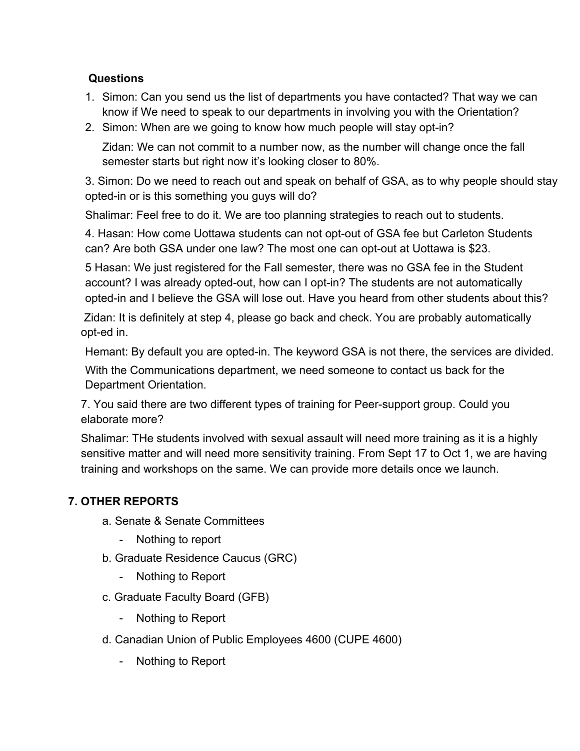# **Questions**

- 1. Simon: Can you send us the list of departments you have contacted? That way we can know if We need to speak to our departments in involving you with the Orientation?
- 2. Simon: When are we going to know how much people will stay opt-in?

Zidan: We can not commit to a number now, as the number will change once the fall semester starts but right now it's looking closer to 80%.

3. Simon: Do we need to reach out and speak on behalf of GSA, as to why people should stay opted-in or is this something you guys will do?

Shalimar: Feel free to do it. We are too planning strategies to reach out to students.

4. Hasan: How come Uottawa students can not opt-out of GSA fee but Carleton Students can? Are both GSA under one law? The most one can opt-out at Uottawa is \$23.

5 Hasan: We just registered for the Fall semester, there was no GSA fee in the Student account? I was already opted-out, how can I opt-in? The students are not automatically opted-in and I believe the GSA will lose out. Have you heard from other students about this?

 Zidan: It is definitely at step 4, please go back and check. You are probably automatically opt-ed in.

Hemant: By default you are opted-in. The keyword GSA is not there, the services are divided.

With the Communications department, we need someone to contact us back for the Department Orientation.

7. You said there are two different types of training for Peer-support group. Could you elaborate more?

Shalimar: THe students involved with sexual assault will need more training as it is a highly sensitive matter and will need more sensitivity training. From Sept 17 to Oct 1, we are having training and workshops on the same. We can provide more details once we launch.

# **7. OTHER REPORTS**

- a. Senate & Senate Committees
	- Nothing to report
- b. Graduate Residence Caucus (GRC)
	- Nothing to Report
- c. Graduate Faculty Board (GFB)
	- Nothing to Report
- d. Canadian Union of Public Employees 4600 (CUPE 4600)
	- Nothing to Report